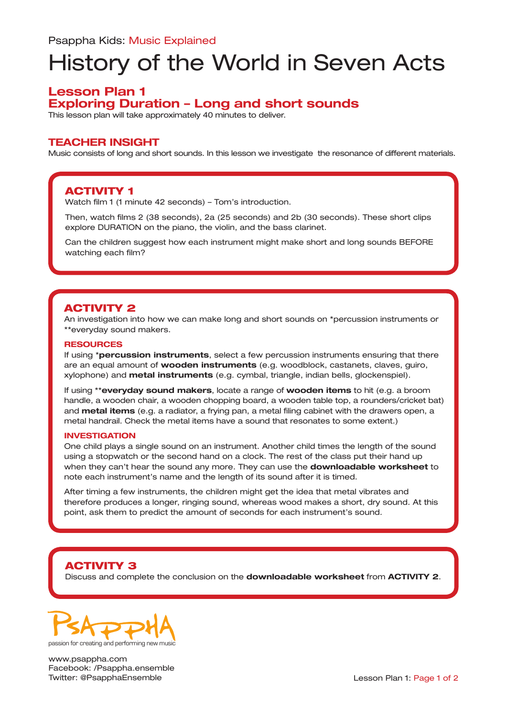# History of the World in Seven Acts

## **Lesson Plan 1 Exploring Duration – Long and short sounds**

This lesson plan will take approximately 40 minutes to deliver.

### **TEACHER INSIGHT**

Music consists of long and short sounds. In this lesson we investigate the resonance of different materials.

## ACTIVITY 1

Watch film 1 (1 minute 42 seconds) – Tom's introduction.

Then, watch films 2 (38 seconds), 2a (25 seconds) and 2b (30 seconds). These short clips explore DURATION on the piano, the violin, and the bass clarinet.

Can the children suggest how each instrument might make short and long sounds BEFORE watching each film?

## ACTIVITY 2

An investigation into how we can make long and short sounds on \*percussion instruments or \*\*everyday sound makers.

#### **RESOURCES**

If using \***percussion instruments**, select a few percussion instruments ensuring that there are an equal amount of **wooden instruments** (e.g. woodblock, castanets, claves, guiro, xylophone) and **metal instruments** (e.g. cymbal, triangle, indian bells, glockenspiel).

If using \*\***everyday sound makers**, locate a range of **wooden items** to hit (e.g. a broom handle, a wooden chair, a wooden chopping board, a wooden table top, a rounders/cricket bat) and **metal items** (e.g. a radiator, a frying pan, a metal filing cabinet with the drawers open, a metal handrail. Check the metal items have a sound that resonates to some extent.)

#### **INVESTIGATION**

One child plays a single sound on an instrument. Another child times the length of the sound using a stopwatch or the second hand on a clock. The rest of the class put their hand up when they can't hear the sound any more. They can use the **downloadable worksheet** to note each instrument's name and the length of its sound after it is timed.

After timing a few instruments, the children might get the idea that metal vibrates and therefore produces a longer, ringing sound, whereas wood makes a short, dry sound. At this point, ask them to predict the amount of seconds for each instrument's sound.

## ACTIVITY 3

Discuss and complete the conclusion on the **downloadable worksheet** from **ACTIVITY 2**.



www.psappha.com Facebook: /Psappha.ensemble Twitter: @PsapphaEnsemble